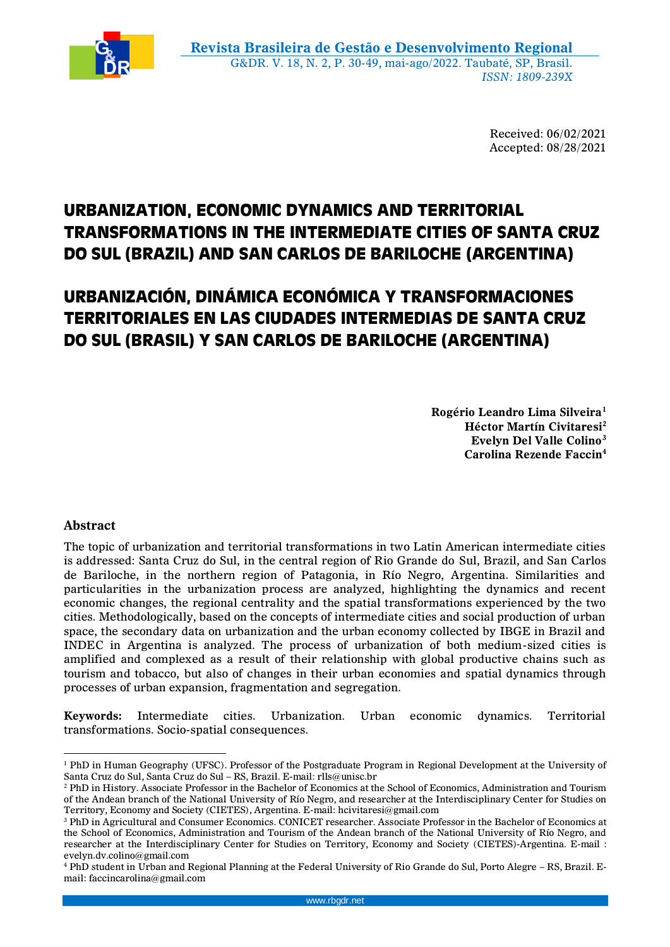

Received: 06/02/2021 Accepted: 08/28/2021

# **URBANIZATION, ECONOMIC DYNAMICS AND TERRITORIAL TRANSFORMATIONS IN THE INTERMEDIATE CITIES OF SANTA CRUZ DO SUL (BRAZIL) AND SAN CARLOS DE BARILOCHE (ARGENTINA)**

# **URBANIZACIÓN, DINÁMICA ECONÓMICA Y TRANSFORMACIONES TERRITORIALES EN LAS CIUDADES INTERMEDIAS DE SANTA CRUZ DO SUL (BRASIL) Y SAN CARLOS DE BARILOCHE (ARGENTINA)**

**Rogério Leandro Lima Silveira<sup>1</sup> Héctor Martín Civitaresi<sup>2</sup> Evelyn Del Valle Colino<sup>3</sup> Carolina Rezende Faccin<sup>4</sup>**

# **Abstract**

The topic of urbanization and territorial transformations in two Latin American intermediate cities is addressed: Santa Cruz do Sul, in the central region of Rio Grande do Sul, Brazil, and San Carlos de Bariloche, in the northern region of Patagonia, in Río Negro, Argentina. Similarities and particularities in the urbanization process are analyzed, highlighting the dynamics and recent economic changes, the regional centrality and the spatial transformations experienced by the two cities. Methodologically, based on the concepts of intermediate cities and social production of urban space, the secondary data on urbanization and the urban economy collected by IBGE in Brazil and INDEC in Argentina is analyzed. The process of urbanization of both medium-sized cities is amplified and complexed as a result of their relationship with global productive chains such as tourism and tobacco, but also of changes in their urban economies and spatial dynamics through processes of urban expansion, fragmentation and segregation.

**Keywords:** Intermediate cities. Urbanization. Urban economic dynamics. Territorial transformations. Socio-spatial consequences.

 $\overline{a}$ <sup>1</sup> PhD in Human Geography (UFSC). Professor of the Postgraduate Program in Regional Development at the University of Santa Cruz do Sul, Santa Cruz do Sul – RS, Brazil. E-mail: rlls@unisc.br

<sup>2</sup> PhD in History. Associate Professor in the Bachelor of Economics at the School of Economics, Administration and Tourism of the Andean branch of the National University of Río Negro, and researcher at the Interdisciplinary Center for Studies on Territory, Economy and Society (CIETES), Argentina. E-mail: hcivitaresi@gmail.com

<sup>3</sup> PhD in Agricultural and Consumer Economics. CONICET researcher. Associate Professor in the Bachelor of Economics at the School of Economics, Administration and Tourism of the Andean branch of the National University of Río Negro, and researcher at the Interdisciplinary Center for Studies on Territory, Economy and Society (CIETES)-Argentina. E-mail : evelyn.dv.colino@gmail.com

<sup>4</sup> PhD student in Urban and Regional Planning at the Federal University of Rio Grande do Sul, Porto Alegre – RS, Brazil. Email: faccincarolina@gmail.com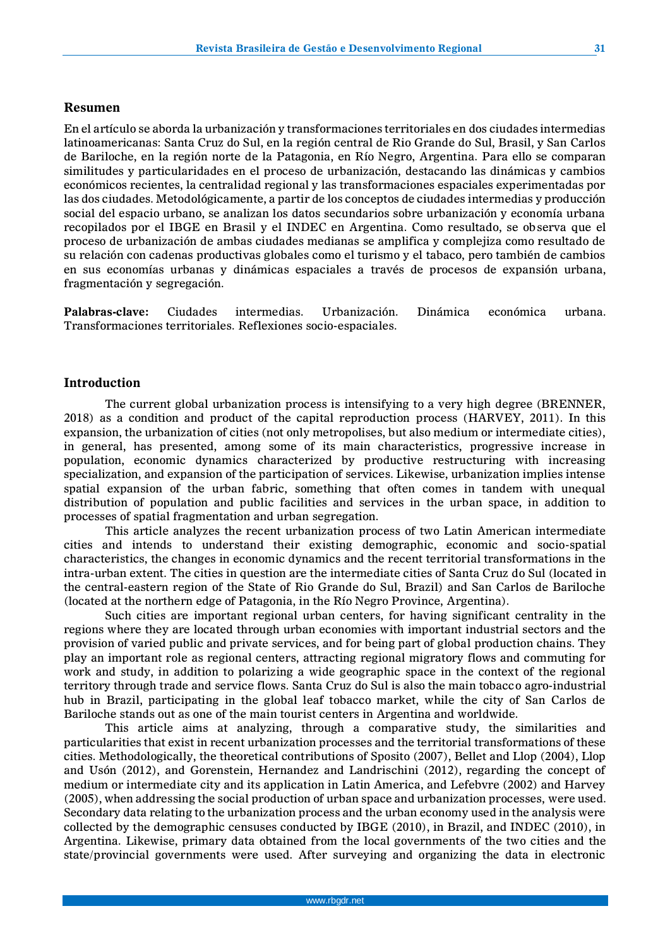#### **Resumen**

En el artículo se aborda la urbanización y transformaciones territoriales en dos ciudades intermedias latinoamericanas: Santa Cruz do Sul, en la región central de Rio Grande do Sul, Brasil, y San Carlos de Bariloche, en la región norte de la Patagonia, en Río Negro, Argentina. Para ello se comparan similitudes y particularidades en el proceso de urbanización, destacando las dinámicas y cambios económicos recientes, la centralidad regional y las transformaciones espaciales experimentadas por las dos ciudades. Metodológicamente, a partir de los conceptos de ciudades intermedias y producción social del espacio urbano, se analizan los datos secundarios sobre urbanización y economía urbana recopilados por el IBGE en Brasil y el INDEC en Argentina. Como resultado, se observa que el proceso de urbanización de ambas ciudades medianas se amplifica y complejiza como resultado de su relación con cadenas productivas globales como el turismo y el tabaco, pero también de cambios en sus economías urbanas y dinámicas espaciales a través de procesos de expansión urbana, fragmentación y segregación.

**Palabras-clave:** Ciudades intermedias. Urbanización. Dinámica económica urbana. Transformaciones territoriales. Reflexiones socio-espaciales.

## **Introduction**

The current global urbanization process is intensifying to a very high degree (BRENNER, 2018) as a condition and product of the capital reproduction process (HARVEY, 2011). In this expansion, the urbanization of cities (not only metropolises, but also medium or intermediate cities), in general, has presented, among some of its main characteristics, progressive increase in population, economic dynamics characterized by productive restructuring with increasing specialization, and expansion of the participation of services. Likewise, urbanization implies intense spatial expansion of the urban fabric, something that often comes in tandem with unequal distribution of population and public facilities and services in the urban space, in addition to processes of spatial fragmentation and urban segregation.

This article analyzes the recent urbanization process of two Latin American intermediate cities and intends to understand their existing demographic, economic and socio-spatial characteristics, the changes in economic dynamics and the recent territorial transformations in the intra-urban extent. The cities in question are the intermediate cities of Santa Cruz do Sul (located in the central-eastern region of the State of Rio Grande do Sul, Brazil) and San Carlos de Bariloche (located at the northern edge of Patagonia, in the Río Negro Province, Argentina).

Such cities are important regional urban centers, for having significant centrality in the regions where they are located through urban economies with important industrial sectors and the provision of varied public and private services, and for being part of global production chains. They play an important role as regional centers, attracting regional migratory flows and commuting for work and study, in addition to polarizing a wide geographic space in the context of the regional territory through trade and service flows. Santa Cruz do Sul is also the main tobacco agro-industrial hub in Brazil, participating in the global leaf tobacco market, while the city of San Carlos de Bariloche stands out as one of the main tourist centers in Argentina and worldwide.

This article aims at analyzing, through a comparative study, the similarities and particularities that exist in recent urbanization processes and the territorial transformations of these cities. Methodologically, the theoretical contributions of Sposito (2007), Bellet and Llop (2004), Llop and Usón (2012), and Gorenstein, Hernandez and Landrischini (2012), regarding the concept of medium or intermediate city and its application in Latin America, and Lefebvre (2002) and Harvey (2005), when addressing the social production of urban space and urbanization processes, were used. Secondary data relating to the urbanization process and the urban economy used in the analysis were collected by the demographic censuses conducted by IBGE (2010), in Brazil, and INDEC (2010), in Argentina. Likewise, primary data obtained from the local governments of the two cities and the state/provincial governments were used. After surveying and organizing the data in electronic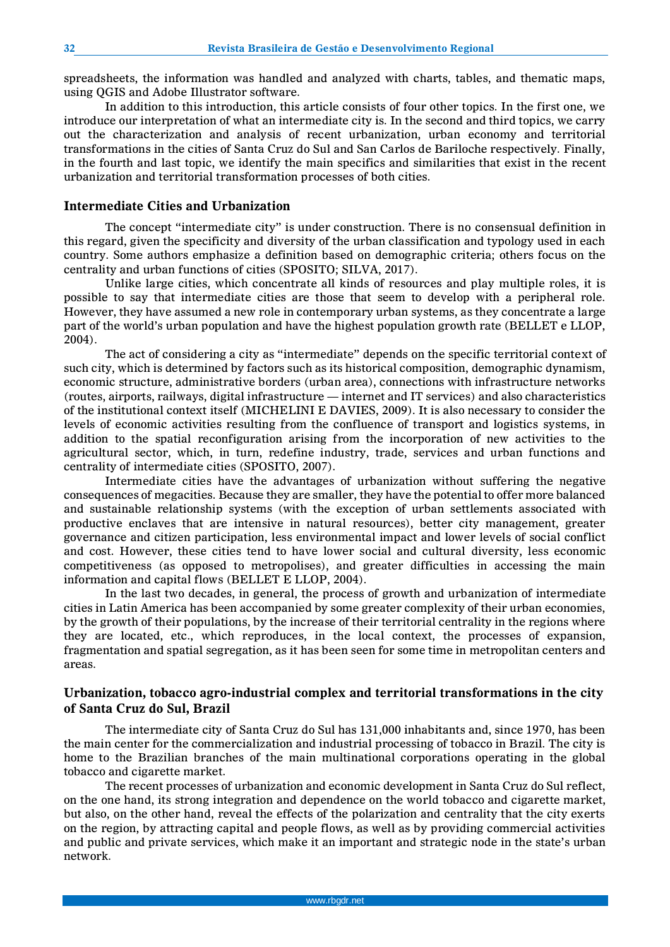spreadsheets, the information was handled and analyzed with charts, tables, and thematic maps, using QGIS and Adobe Illustrator software.

In addition to this introduction, this article consists of four other topics. In the first one, we introduce our interpretation of what an intermediate city is. In the second and third topics, we carry out the characterization and analysis of recent urbanization, urban economy and territorial transformations in the cities of Santa Cruz do Sul and San Carlos de Bariloche respectively. Finally, in the fourth and last topic, we identify the main specifics and similarities that exist in the recent urbanization and territorial transformation processes of both cities.

### **Intermediate Cities and Urbanization**

The concept "intermediate city" is under construction. There is no consensual definition in this regard, given the specificity and diversity of the urban classification and typology used in each country. Some authors emphasize a definition based on demographic criteria; others focus on the centrality and urban functions of cities (SPOSITO; SILVA, 2017).

Unlike large cities, which concentrate all kinds of resources and play multiple roles, it is possible to say that intermediate cities are those that seem to develop with a peripheral role. However, they have assumed a new role in contemporary urban systems, as they concentrate a large part of the world's urban population and have the highest population growth rate (BELLET e LLOP, 2004).

The act of considering a city as "intermediate" depends on the specific territorial context of such city, which is determined by factors such as its historical composition, demographic dynamism, economic structure, administrative borders (urban area), connections with infrastructure networks (routes, airports, railways, digital infrastructure — internet and IT services) and also characteristics of the institutional context itself (MICHELINI E DAVIES, 2009). It is also necessary to consider the levels of economic activities resulting from the confluence of transport and logistics systems, in addition to the spatial reconfiguration arising from the incorporation of new activities to the agricultural sector, which, in turn, redefine industry, trade, services and urban functions and centrality of intermediate cities (SPOSITO, 2007).

Intermediate cities have the advantages of urbanization without suffering the negative consequences of megacities. Because they are smaller, they have the potential to offer more balanced and sustainable relationship systems (with the exception of urban settlements associated with productive enclaves that are intensive in natural resources), better city management, greater governance and citizen participation, less environmental impact and lower levels of social conflict and cost. However, these cities tend to have lower social and cultural diversity, less economic competitiveness (as opposed to metropolises), and greater difficulties in accessing the main information and capital flows (BELLET E LLOP, 2004).

In the last two decades, in general, the process of growth and urbanization of intermediate cities in Latin America has been accompanied by some greater complexity of their urban economies, by the growth of their populations, by the increase of their territorial centrality in the regions where they are located, etc., which reproduces, in the local context, the processes of expansion, fragmentation and spatial segregation, as it has been seen for some time in metropolitan centers and areas.

## **Urbanization, tobacco agro-industrial complex and territorial transformations in the city of Santa Cruz do Sul, Brazil**

The intermediate city of Santa Cruz do Sul has 131,000 inhabitants and, since 1970, has been the main center for the commercialization and industrial processing of tobacco in Brazil. The city is home to the Brazilian branches of the main multinational corporations operating in the global tobacco and cigarette market.

The recent processes of urbanization and economic development in Santa Cruz do Sul reflect, on the one hand, its strong integration and dependence on the world tobacco and cigarette market, but also, on the other hand, reveal the effects of the polarization and centrality that the city exerts on the region, by attracting capital and people flows, as well as by providing commercial activities and public and private services, which make it an important and strategic node in the state's urban network.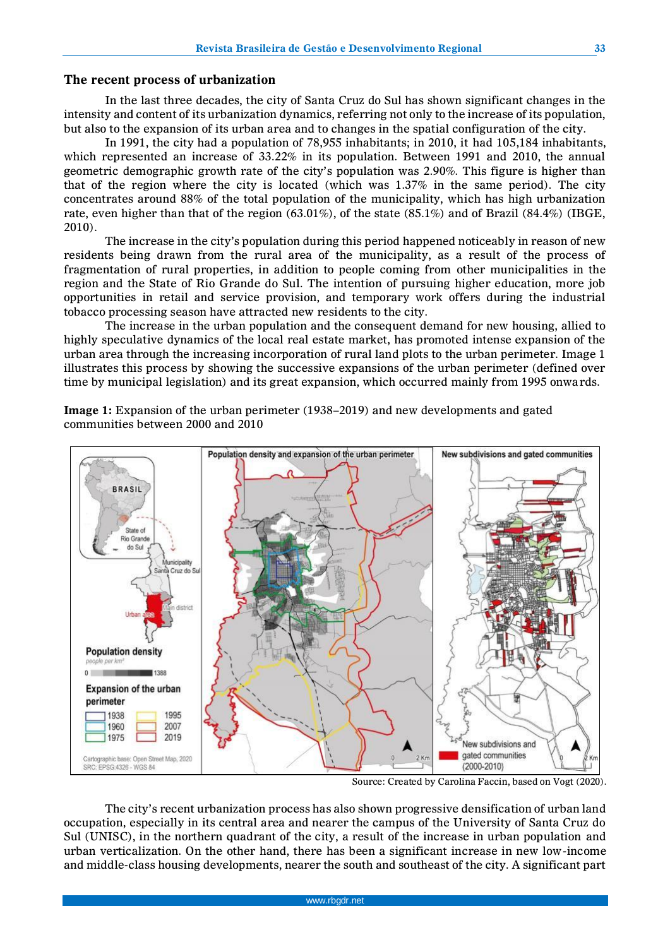#### **The recent process of urbanization**

In the last three decades, the city of Santa Cruz do Sul has shown significant changes in the intensity and content of its urbanization dynamics, referring not only to the increase of its population, but also to the expansion of its urban area and to changes in the spatial configuration of the city.

In 1991, the city had a population of 78,955 inhabitants; in 2010, it had 105,184 inhabitants, which represented an increase of 33.22% in its population. Between 1991 and 2010, the annual geometric demographic growth rate of the city's population was 2.90%. This figure is higher than that of the region where the city is located (which was 1.37% in the same period). The city concentrates around 88% of the total population of the municipality, which has high urbanization rate, even higher than that of the region (63.01%), of the state (85.1%) and of Brazil (84.4%) (IBGE, 2010).

The increase in the city's population during this period happened noticeably in reason of new residents being drawn from the rural area of the municipality, as a result of the process of fragmentation of rural properties, in addition to people coming from other municipalities in the region and the State of Rio Grande do Sul. The intention of pursuing higher education, more job opportunities in retail and service provision, and temporary work offers during the industrial tobacco processing season have attracted new residents to the city.

The increase in the urban population and the consequent demand for new housing, allied to highly speculative dynamics of the local real estate market, has promoted intense expansion of the urban area through the increasing incorporation of rural land plots to the urban perimeter. Image 1 illustrates this process by showing the successive expansions of the urban perimeter (defined over time by municipal legislation) and its great expansion, which occurred mainly from 1995 onwards.



**Image 1:** Expansion of the urban perimeter (1938–2019) and new developments and gated communities between 2000 and 2010

Source: Created by Carolina Faccin, based on Vogt (2020).

The city's recent urbanization process has also shown progressive densification of urban land occupation, especially in its central area and nearer the campus of the University of Santa Cruz do Sul (UNISC), in the northern quadrant of the city, a result of the increase in urban population and urban verticalization. On the other hand, there has been a significant increase in new low-income and middle-class housing developments, nearer the south and southeast of the city. A significant part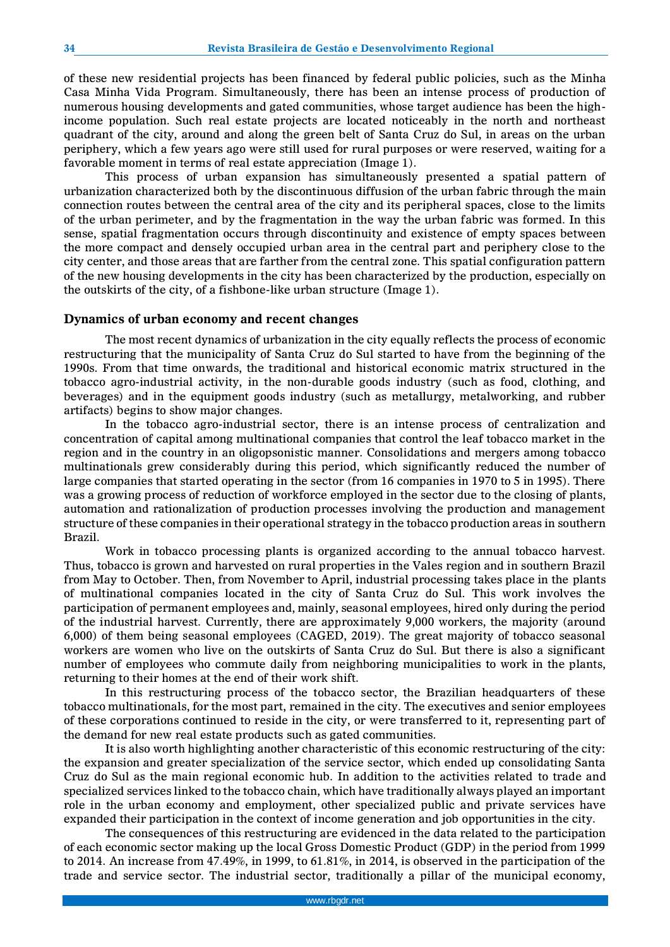of these new residential projects has been financed by federal public policies, such as the Minha Casa Minha Vida Program. Simultaneously, there has been an intense process of production of numerous housing developments and gated communities, whose target audience has been the highincome population. Such real estate projects are located noticeably in the north and northeast quadrant of the city, around and along the green belt of Santa Cruz do Sul, in areas on the urban periphery, which a few years ago were still used for rural purposes or were reserved, waiting for a favorable moment in terms of real estate appreciation (Image 1).

This process of urban expansion has simultaneously presented a spatial pattern of urbanization characterized both by the discontinuous diffusion of the urban fabric through the main connection routes between the central area of the city and its peripheral spaces, close to the limits of the urban perimeter, and by the fragmentation in the way the urban fabric was formed. In this sense, spatial fragmentation occurs through discontinuity and existence of empty spaces between the more compact and densely occupied urban area in the central part and periphery close to the city center, and those areas that are farther from the central zone. This spatial configuration pattern of the new housing developments in the city has been characterized by the production, especially on the outskirts of the city, of a fishbone-like urban structure (Image 1).

### **Dynamics of urban economy and recent changes**

The most recent dynamics of urbanization in the city equally reflects the process of economic restructuring that the municipality of Santa Cruz do Sul started to have from the beginning of the 1990s. From that time onwards, the traditional and historical economic matrix structured in the tobacco agro-industrial activity, in the non-durable goods industry (such as food, clothing, and beverages) and in the equipment goods industry (such as metallurgy, metalworking, and rubber artifacts) begins to show major changes.

In the tobacco agro-industrial sector, there is an intense process of centralization and concentration of capital among multinational companies that control the leaf tobacco market in the region and in the country in an oligopsonistic manner. Consolidations and mergers among tobacco multinationals grew considerably during this period, which significantly reduced the number of large companies that started operating in the sector (from 16 companies in 1970 to 5 in 1995). There was a growing process of reduction of workforce employed in the sector due to the closing of plants, automation and rationalization of production processes involving the production and management structure of these companies in their operational strategy in the tobacco production areas in southern Brazil.

Work in tobacco processing plants is organized according to the annual tobacco harvest. Thus, tobacco is grown and harvested on rural properties in the Vales region and in southern Brazil from May to October. Then, from November to April, industrial processing takes place in the plants of multinational companies located in the city of Santa Cruz do Sul. This work involves the participation of permanent employees and, mainly, seasonal employees, hired only during the period of the industrial harvest. Currently, there are approximately 9,000 workers, the majority (around 6,000) of them being seasonal employees (CAGED, 2019). The great majority of tobacco seasonal workers are women who live on the outskirts of Santa Cruz do Sul. But there is also a significant number of employees who commute daily from neighboring municipalities to work in the plants, returning to their homes at the end of their work shift.

In this restructuring process of the tobacco sector, the Brazilian headquarters of these tobacco multinationals, for the most part, remained in the city. The executives and senior employees of these corporations continued to reside in the city, or were transferred to it, representing part of the demand for new real estate products such as gated communities.

It is also worth highlighting another characteristic of this economic restructuring of the city: the expansion and greater specialization of the service sector, which ended up consolidating Santa Cruz do Sul as the main regional economic hub. In addition to the activities related to trade and specialized services linked to the tobacco chain, which have traditionally always played an important role in the urban economy and employment, other specialized public and private services have expanded their participation in the context of income generation and job opportunities in the city.

The consequences of this restructuring are evidenced in the data related to the participation of each economic sector making up the local Gross Domestic Product (GDP) in the period from 1999 to 2014. An increase from 47.49%, in 1999, to 61.81%, in 2014, is observed in the participation of the trade and service sector. The industrial sector, traditionally a pillar of the municipal economy,

**34**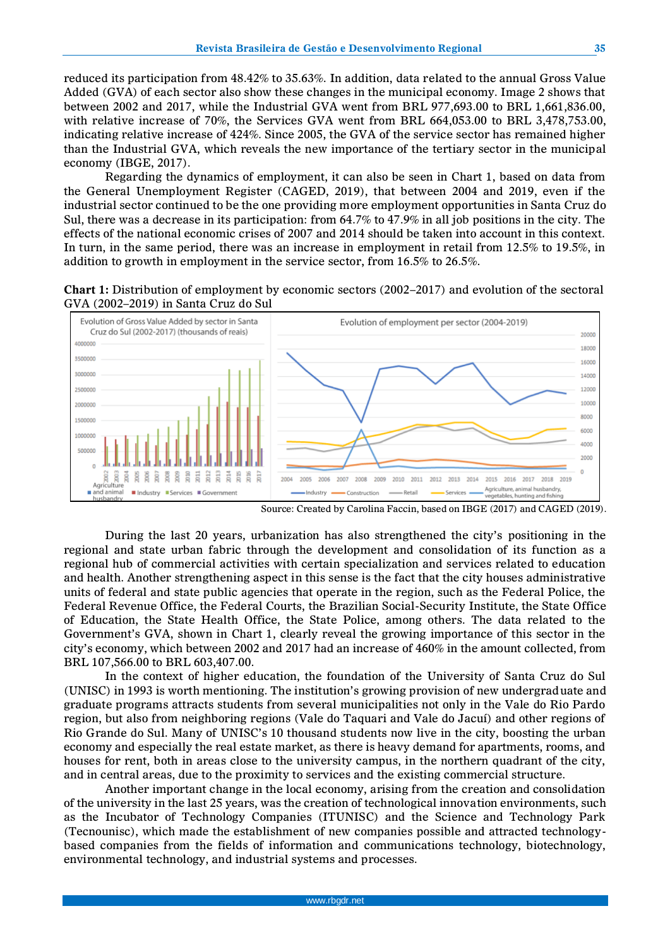reduced its participation from 48.42% to 35.63%. In addition, data related to the annual Gross Value Added (GVA) of each sector also show these changes in the municipal economy. Image 2 shows that between 2002 and 2017, while the Industrial GVA went from BRL 977,693.00 to BRL 1,661,836.00, with relative increase of 70%, the Services GVA went from BRL 664,053.00 to BRL 3,478,753.00, indicating relative increase of 424%. Since 2005, the GVA of the service sector has remained higher than the Industrial GVA, which reveals the new importance of the tertiary sector in the municipal economy (IBGE, 2017).

Regarding the dynamics of employment, it can also be seen in Chart 1, based on data from the General Unemployment Register (CAGED, 2019), that between 2004 and 2019, even if the industrial sector continued to be the one providing more employment opportunities in Santa Cruz do Sul, there was a decrease in its participation: from 64.7% to 47.9% in all job positions in the city. The effects of the national economic crises of 2007 and 2014 should be taken into account in this context. In turn, in the same period, there was an increase in employment in retail from 12.5% to 19.5%, in addition to growth in employment in the service sector, from 16.5% to 26.5%.

**Chart 1:** Distribution of employment by economic sectors (2002–2017) and evolution of the sectoral GVA (2002–2019) in Santa Cruz do Sul



Source: Created by Carolina Faccin, based on IBGE (2017) and CAGED (2019).

During the last 20 years, urbanization has also strengthened the city's positioning in the regional and state urban fabric through the development and consolidation of its function as a regional hub of commercial activities with certain specialization and services related to education and health. Another strengthening aspect in this sense is the fact that the city houses administrative units of federal and state public agencies that operate in the region, such as the Federal Police, the Federal Revenue Office, the Federal Courts, the Brazilian Social-Security Institute, the State Office of Education, the State Health Office, the State Police, among others. The data related to the Government's GVA, shown in Chart 1, clearly reveal the growing importance of this sector in the city's economy, which between 2002 and 2017 had an increase of 460% in the amount collected, from BRL 107,566.00 to BRL 603,407.00.

In the context of higher education, the foundation of the University of Santa Cruz do Sul (UNISC) in 1993 is worth mentioning. The institution's growing provision of new undergraduate and graduate programs attracts students from several municipalities not only in the Vale do Rio Pardo region, but also from neighboring regions (Vale do Taquari and Vale do Jacuí) and other regions of Rio Grande do Sul. Many of UNISC's 10 thousand students now live in the city, boosting the urban economy and especially the real estate market, as there is heavy demand for apartments, rooms, and houses for rent, both in areas close to the university campus, in the northern quadrant of the city, and in central areas, due to the proximity to services and the existing commercial structure.

Another important change in the local economy, arising from the creation and consolidation of the university in the last 25 years, was the creation of technological innovation environments, such as the Incubator of Technology Companies (ITUNISC) and the Science and Technology Park (Tecnounisc), which made the establishment of new companies possible and attracted technologybased companies from the fields of information and communications technology, biotechnology, environmental technology, and industrial systems and processes.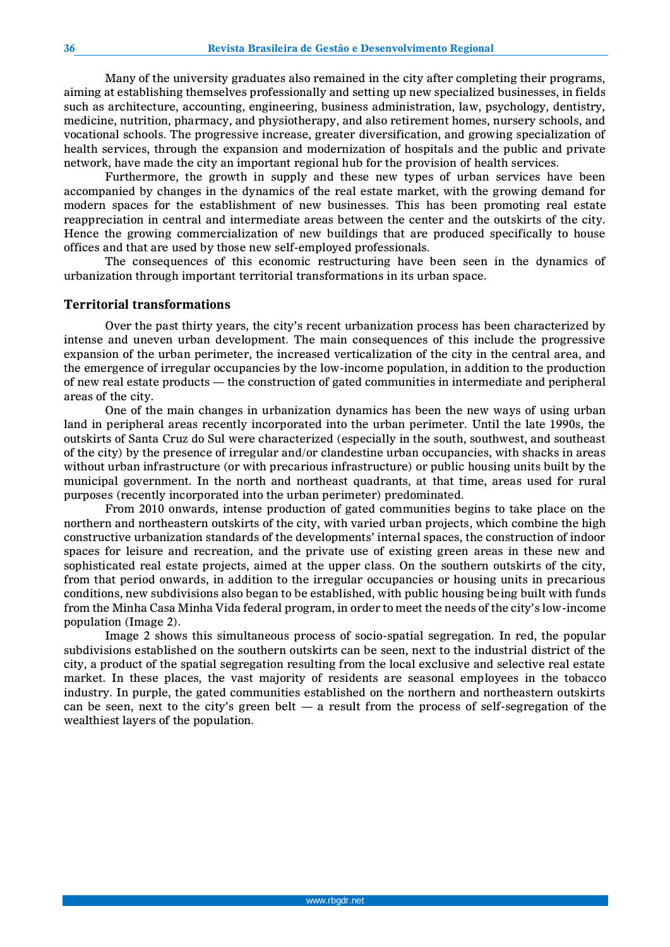Many of the university graduates also remained in the city after completing their programs, aiming at establishing themselves professionally and setting up new specialized businesses, in fields such as architecture, accounting, engineering, business administration, law, psychology, dentistry, medicine, nutrition, pharmacy, and physiotherapy, and also retirement homes, nursery schools, and vocational schools. The progressive increase, greater diversification, and growing specialization of health services, through the expansion and modernization of hospitals and the public and private network, have made the city an important regional hub for the provision of health services.

Furthermore, the growth in supply and these new types of urban services have been accompanied by changes in the dynamics of the real estate market, with the growing demand for modern spaces for the establishment of new businesses. This has been promoting real estate reappreciation in central and intermediate areas between the center and the outskirts of the city. Hence the growing commercialization of new buildings that are produced specifically to house offices and that are used by those new self-employed professionals.

The consequences of this economic restructuring have been seen in the dynamics of urbanization through important territorial transformations in its urban space.

#### **Territorial transformations**

Over the past thirty years, the city's recent urbanization process has been characterized by intense and uneven urban development. The main consequences of this include the progressive expansion of the urban perimeter, the increased verticalization of the city in the central area, and the emergence of irregular occupancies by the low-income population, in addition to the production of new real estate products — the construction of gated communities in intermediate and peripheral areas of the city.

One of the main changes in urbanization dynamics has been the new ways of using urban land in peripheral areas recently incorporated into the urban perimeter. Until the late 1990s, the outskirts of Santa Cruz do Sul were characterized (especially in the south, southwest, and southeast of the city) by the presence of irregular and/or clandestine urban occupancies, with shacks in areas without urban infrastructure (or with precarious infrastructure) or public housing units built by the municipal government. In the north and northeast quadrants, at that time, areas used for rural purposes (recently incorporated into the urban perimeter) predominated.

From 2010 onwards, intense production of gated communities begins to take place on the northern and northeastern outskirts of the city, with varied urban projects, which combine the high constructive urbanization standards of the developments' internal spaces, the construction of indoor spaces for leisure and recreation, and the private use of existing green areas in these new and sophisticated real estate projects, aimed at the upper class. On the southern outskirts of the city, from that period onwards, in addition to the irregular occupancies or housing units in precarious conditions, new subdivisions also began to be established, with public housing being built with funds from the Minha Casa Minha Vida federal program, in order to meet the needs of the city's low-income population (Image 2).

Image 2 shows this simultaneous process of socio-spatial segregation. In red, the popular subdivisions established on the southern outskirts can be seen, next to the industrial district of the city, a product of the spatial segregation resulting from the local exclusive and selective real estate market. In these places, the vast majority of residents are seasonal employees in the tobacco industry. In purple, the gated communities established on the northern and northeastern outskirts can be seen, next to the city's green belt  $-$  a result from the process of self-segregation of the wealthiest layers of the population.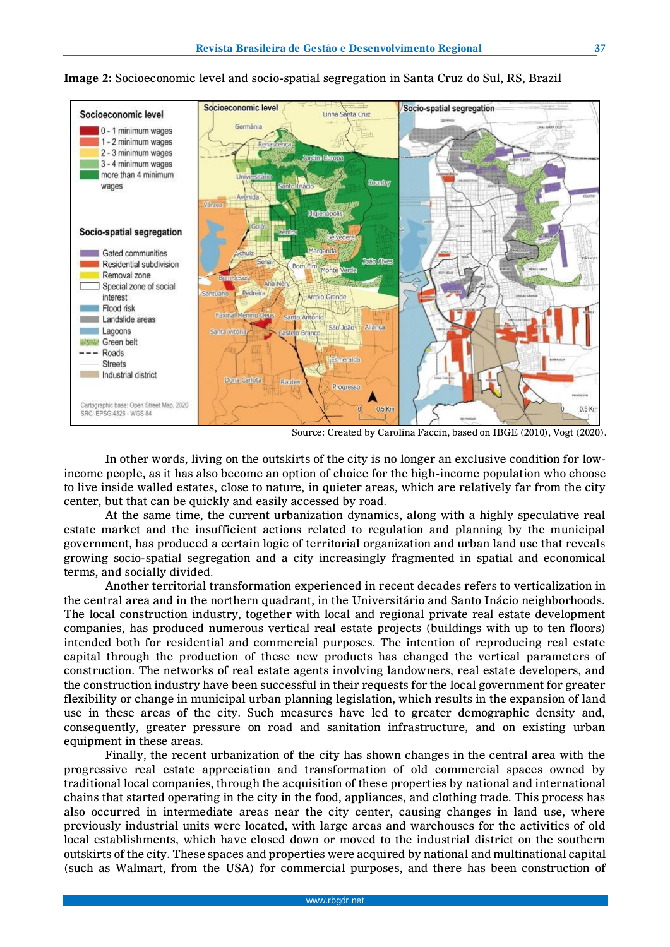

#### **Image 2:** Socioeconomic level and socio-spatial segregation in Santa Cruz do Sul, RS, Brazil

Source: Created by Carolina Faccin, based on IBGE (2010), Vogt (2020).

In other words, living on the outskirts of the city is no longer an exclusive condition for lowincome people, as it has also become an option of choice for the high-income population who choose to live inside walled estates, close to nature, in quieter areas, which are relatively far from the city center, but that can be quickly and easily accessed by road.

At the same time, the current urbanization dynamics, along with a highly speculative real estate market and the insufficient actions related to regulation and planning by the municipal government, has produced a certain logic of territorial organization and urban land use that reveals growing socio-spatial segregation and a city increasingly fragmented in spatial and economical terms, and socially divided.

Another territorial transformation experienced in recent decades refers to verticalization in the central area and in the northern quadrant, in the Universitário and Santo Inácio neighborhoods. The local construction industry, together with local and regional private real estate development companies, has produced numerous vertical real estate projects (buildings with up to ten floors) intended both for residential and commercial purposes. The intention of reproducing real estate capital through the production of these new products has changed the vertical parameters of construction. The networks of real estate agents involving landowners, real estate developers, and the construction industry have been successful in their requests for the local government for greater flexibility or change in municipal urban planning legislation, which results in the expansion of land use in these areas of the city. Such measures have led to greater demographic density and, consequently, greater pressure on road and sanitation infrastructure, and on existing urban equipment in these areas.

Finally, the recent urbanization of the city has shown changes in the central area with the progressive real estate appreciation and transformation of old commercial spaces owned by traditional local companies, through the acquisition of these properties by national and international chains that started operating in the city in the food, appliances, and clothing trade. This process has also occurred in intermediate areas near the city center, causing changes in land use, where previously industrial units were located, with large areas and warehouses for the activities of old local establishments, which have closed down or moved to the industrial district on the southern outskirts of the city. These spaces and properties were acquired by national and multinational capital (such as Walmart, from the USA) for commercial purposes, and there has been construction of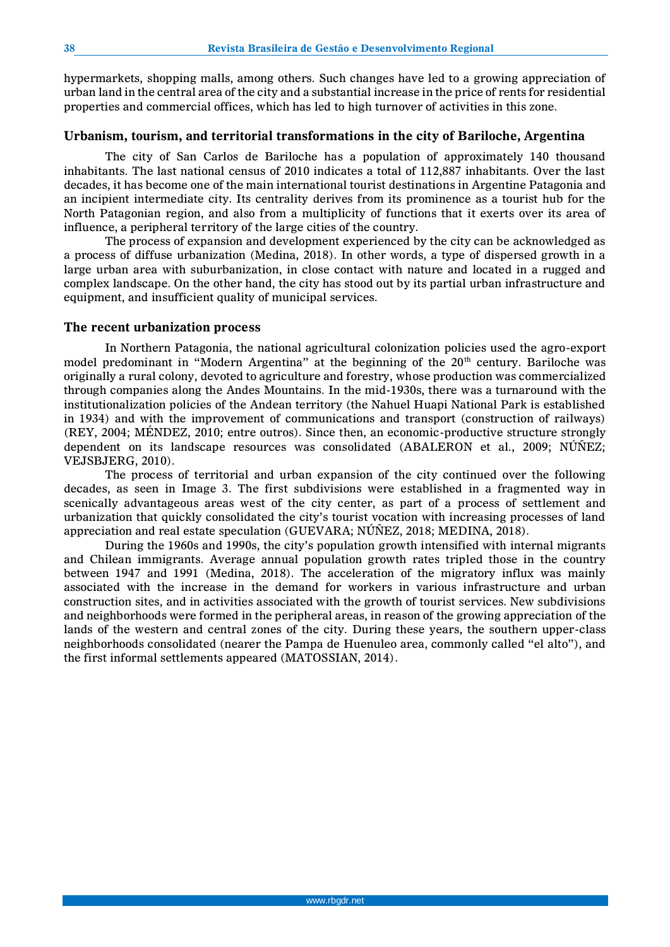hypermarkets, shopping malls, among others. Such changes have led to a growing appreciation of urban land in the central area of the city and a substantial increase in the price of rents for residential properties and commercial offices, which has led to high turnover of activities in this zone.

#### **Urbanism, tourism, and territorial transformations in the city of Bariloche, Argentina**

The city of San Carlos de Bariloche has a population of approximately 140 thousand inhabitants. The last national census of 2010 indicates a total of 112,887 inhabitants. Over the last decades, it has become one of the main international tourist destinations in Argentine Patagonia and an incipient intermediate city. Its centrality derives from its prominence as a tourist hub for the North Patagonian region, and also from a multiplicity of functions that it exerts over its area of influence, a peripheral territory of the large cities of the country.

The process of expansion and development experienced by the city can be acknowledged as a process of diffuse urbanization (Medina, 2018). In other words, a type of dispersed growth in a large urban area with suburbanization, in close contact with nature and located in a rugged and complex landscape. On the other hand, the city has stood out by its partial urban infrastructure and equipment, and insufficient quality of municipal services.

#### **The recent urbanization process**

In Northern Patagonia, the national agricultural colonization policies used the agro-export model predominant in "Modern Argentina" at the beginning of the  $20<sup>th</sup>$  century. Bariloche was originally a rural colony, devoted to agriculture and forestry, whose production was commercialized through companies along the Andes Mountains. In the mid-1930s, there was a turnaround with the institutionalization policies of the Andean territory (the Nahuel Huapi National Park is established in 1934) and with the improvement of communications and transport (construction of railways) (REY, 2004; MÉNDEZ, 2010; entre outros). Since then, an economic-productive structure strongly dependent on its landscape resources was consolidated (ABALERON et al., 2009; NÚÑEZ; VEJSBJERG, 2010).

The process of territorial and urban expansion of the city continued over the following decades, as seen in Image 3. The first subdivisions were established in a fragmented way in scenically advantageous areas west of the city center, as part of a process of settlement and urbanization that quickly consolidated the city's tourist vocation with increasing processes of land appreciation and real estate speculation (GUEVARA; NÚÑEZ, 2018; MEDINA, 2018).

During the 1960s and 1990s, the city's population growth intensified with internal migrants and Chilean immigrants. Average annual population growth rates tripled those in the country between 1947 and 1991 (Medina, 2018). The acceleration of the migratory influx was mainly associated with the increase in the demand for workers in various infrastructure and urban construction sites, and in activities associated with the growth of tourist services. New subdivisions and neighborhoods were formed in the peripheral areas, in reason of the growing appreciation of the lands of the western and central zones of the city. During these years, the southern upper-class neighborhoods consolidated (nearer the Pampa de Huenuleo area, commonly called "el alto"), and the first informal settlements appeared (MATOSSIAN, 2014).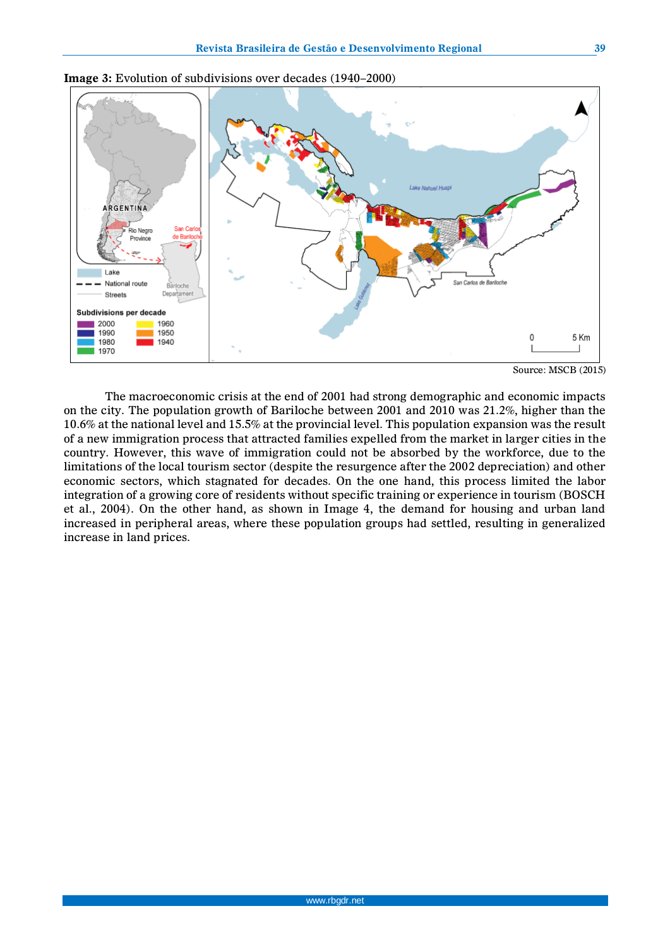

**Image 3:** Evolution of subdivisions over decades (1940–2000)

Source: MSCB (2015)

The macroeconomic crisis at the end of 2001 had strong demographic and economic impacts on the city. The population growth of Bariloche between 2001 and 2010 was 21.2%, higher than the 10.6% at the national level and 15.5% at the provincial level. This population expansion was the result of a new immigration process that attracted families expelled from the market in larger cities in the country. However, this wave of immigration could not be absorbed by the workforce, due to the limitations of the local tourism sector (despite the resurgence after the 2002 depreciation) and other economic sectors, which stagnated for decades. On the one hand, this process limited the labor integration of a growing core of residents without specific training or experience in tourism (BOSCH et al., 2004). On the other hand, as shown in Image 4, the demand for housing and urban land increased in peripheral areas, where these population groups had settled, resulting in generalized increase in land prices.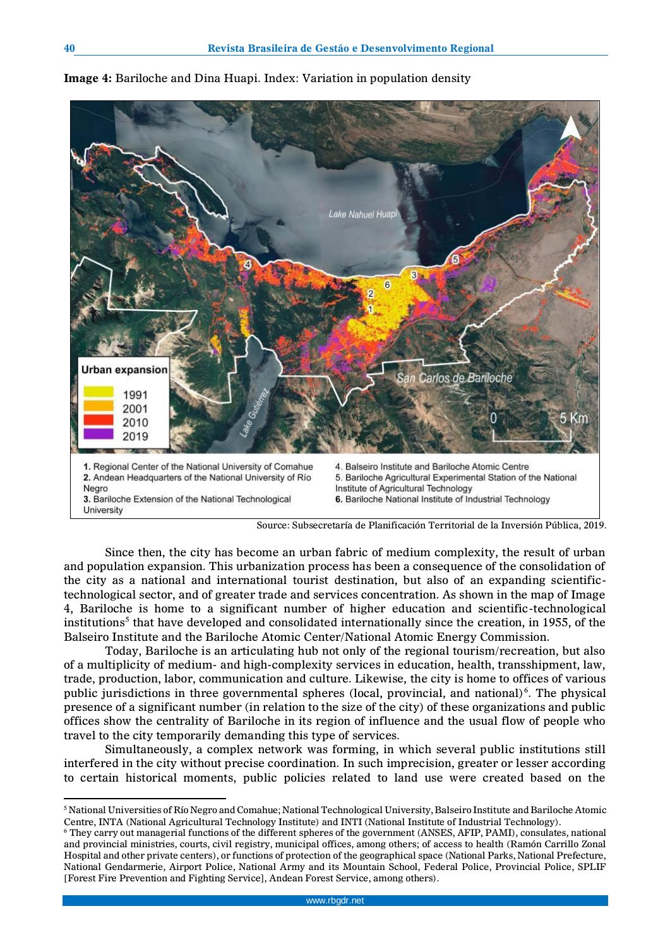

**Image 4:** Bariloche and Dina Huapi. Index: Variation in population density

Since then, the city has become an urban fabric of medium complexity, the result of urban and population expansion. This urbanization process has been a consequence of the consolidation of the city as a national and international tourist destination, but also of an expanding scientifictechnological sector, and of greater trade and services concentration. As shown in the map of Image 4, Bariloche is home to a significant number of higher education and scientific-technological institutions $^5$  that have developed and consolidated internationally since the creation, in 1955, of the Balseiro Institute and the Bariloche Atomic Center/National Atomic Energy Commission.

Today, Bariloche is an articulating hub not only of the regional tourism/recreation, but also of a multiplicity of medium- and high-complexity services in education, health, transshipment, law, trade, production, labor, communication and culture. Likewise, the city is home to offices of various public jurisdictions in three governmental spheres (local, provincial, and national)<sup>6</sup>. The physical presence of a significant number (in relation to the size of the city) of these organizations and public offices show the centrality of Bariloche in its region of influence and the usual flow of people who travel to the city temporarily demanding this type of services.

Simultaneously, a complex network was forming, in which several public institutions still interfered in the city without precise coordination. In such imprecision, greater or lesser according to certain historical moments, public policies related to land use were created based on the

 $\overline{a}$ 

Source: Subsecretaría de Planificación Territorial de la Inversión Pública, 2019.

<sup>5</sup> National Universities of Río Negro and Comahue; National Technological University, Balseiro Institute and Bariloche Atomic Centre, INTA (National Agricultural Technology Institute) and INTI (National Institute of Industrial Technology).

<sup>6</sup> They carry out managerial functions of the different spheres of the government (ANSES, AFIP, PAMI), consulates, national and provincial ministries, courts, civil registry, municipal offices, among others; of access to health (Ramón Carrillo Zonal Hospital and other private centers), or functions of protection of the geographical space (National Parks, National Prefecture, National Gendarmerie, Airport Police, National Army and its Mountain School, Federal Police, Provincial Police, SPLIF [Forest Fire Prevention and Fighting Service], Andean Forest Service, among others).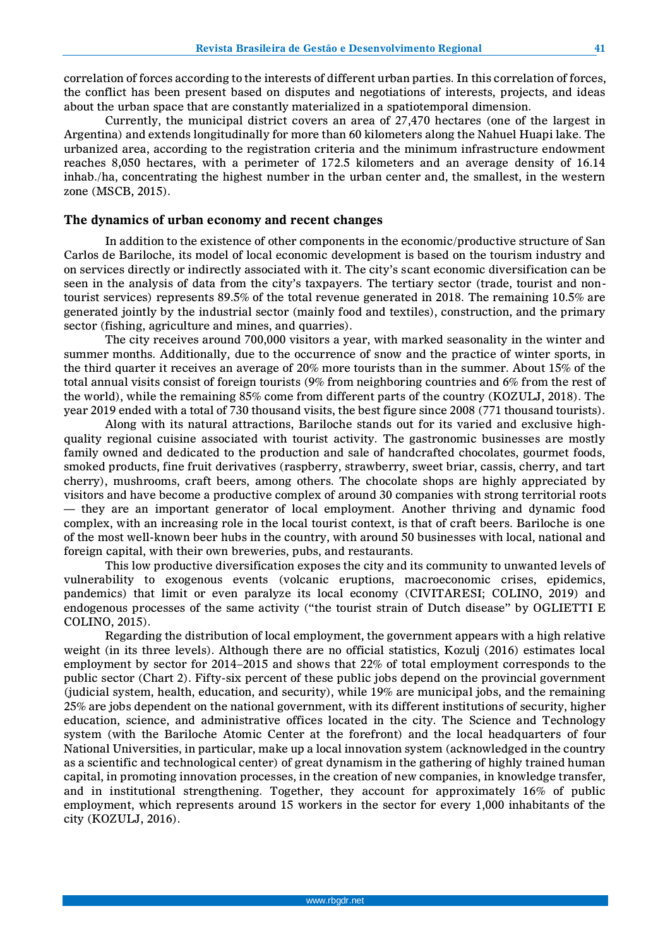correlation of forces according to the interests of different urban parties. In this correlation of forces, the conflict has been present based on disputes and negotiations of interests, projects, and ideas about the urban space that are constantly materialized in a spatiotemporal dimension.

Currently, the municipal district covers an area of 27,470 hectares (one of the largest in Argentina) and extends longitudinally for more than 60 kilometers along the Nahuel Huapi lake. The urbanized area, according to the registration criteria and the minimum infrastructure endowment reaches 8,050 hectares, with a perimeter of 172.5 kilometers and an average density of 16.14 inhab./ha, concentrating the highest number in the urban center and, the smallest, in the western zone (MSCB, 2015).

#### **The dynamics of urban economy and recent changes**

In addition to the existence of other components in the economic/productive structure of San Carlos de Bariloche, its model of local economic development is based on the tourism industry and on services directly or indirectly associated with it. The city's scant economic diversification can be seen in the analysis of data from the city's taxpayers. The tertiary sector (trade, tourist and nontourist services) represents 89.5% of the total revenue generated in 2018. The remaining 10.5% are generated jointly by the industrial sector (mainly food and textiles), construction, and the primary sector (fishing, agriculture and mines, and quarries).

The city receives around 700,000 visitors a year, with marked seasonality in the winter and summer months. Additionally, due to the occurrence of snow and the practice of winter sports, in the third quarter it receives an average of 20% more tourists than in the summer. About 15% of the total annual visits consist of foreign tourists (9% from neighboring countries and 6% from the rest of the world), while the remaining 85% come from different parts of the country (KOZULJ, 2018). The year 2019 ended with a total of 730 thousand visits, the best figure since 2008 (771 thousand tourists).

Along with its natural attractions, Bariloche stands out for its varied and exclusive highquality regional cuisine associated with tourist activity. The gastronomic businesses are mostly family owned and dedicated to the production and sale of handcrafted chocolates, gourmet foods, smoked products, fine fruit derivatives (raspberry, strawberry, sweet briar, cassis, cherry, and tart cherry), mushrooms, craft beers, among others. The chocolate shops are highly appreciated by visitors and have become a productive complex of around 30 companies with strong territorial roots — they are an important generator of local employment. Another thriving and dynamic food complex, with an increasing role in the local tourist context, is that of craft beers. Bariloche is one of the most well-known beer hubs in the country, with around 50 businesses with local, national and foreign capital, with their own breweries, pubs, and restaurants.

This low productive diversification exposes the city and its community to unwanted levels of vulnerability to exogenous events (volcanic eruptions, macroeconomic crises, epidemics, pandemics) that limit or even paralyze its local economy (CIVITARESI; COLINO, 2019) and endogenous processes of the same activity ("the tourist strain of Dutch disease" by OGLIETTI E COLINO, 2015).

Regarding the distribution of local employment, the government appears with a high relative weight (in its three levels). Although there are no official statistics, Kozulj (2016) estimates local employment by sector for 2014–2015 and shows that 22% of total employment corresponds to the public sector (Chart 2). Fifty-six percent of these public jobs depend on the provincial government (judicial system, health, education, and security), while 19% are municipal jobs, and the remaining 25% are jobs dependent on the national government, with its different institutions of security, higher education, science, and administrative offices located in the city. The Science and Technology system (with the Bariloche Atomic Center at the forefront) and the local headquarters of four National Universities, in particular, make up a local innovation system (acknowledged in the country as a scientific and technological center) of great dynamism in the gathering of highly trained human capital, in promoting innovation processes, in the creation of new companies, in knowledge transfer, and in institutional strengthening. Together, they account for approximately 16% of public employment, which represents around 15 workers in the sector for every 1,000 inhabitants of the city (KOZULJ, 2016).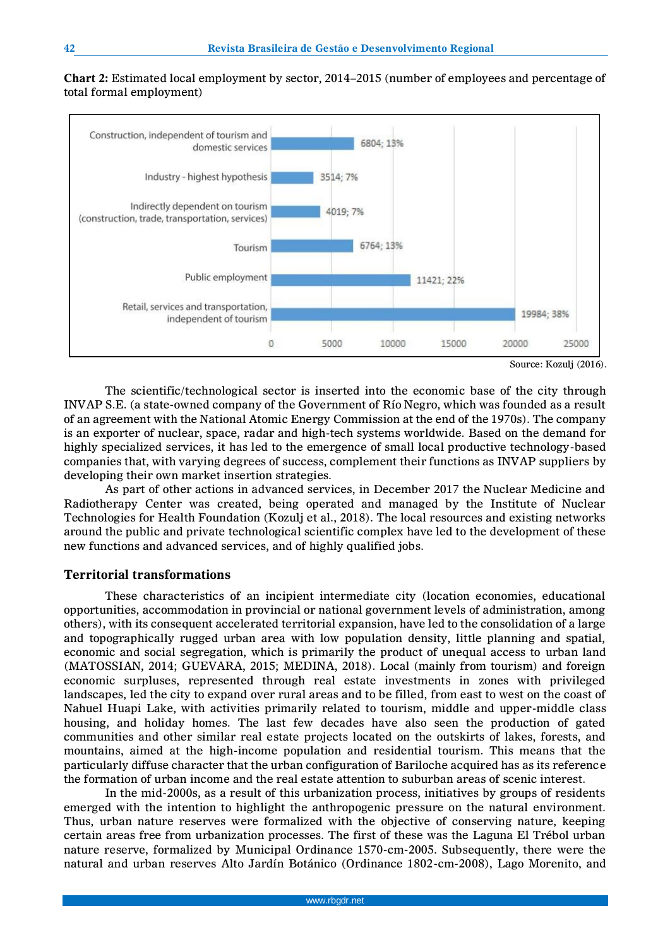**Chart 2:** Estimated local employment by sector, 2014–2015 (number of employees and percentage of total formal employment)



Source: Kozulj (2016).

The scientific/technological sector is inserted into the economic base of the city through INVAP S.E. (a state-owned company of the Government of Río Negro, which was founded as a result of an agreement with the National Atomic Energy Commission at the end of the 1970s). The company is an exporter of nuclear, space, radar and high-tech systems worldwide. Based on the demand for highly specialized services, it has led to the emergence of small local productive technology-based companies that, with varying degrees of success, complement their functions as INVAP suppliers by developing their own market insertion strategies.

As part of other actions in advanced services, in December 2017 the Nuclear Medicine and Radiotherapy Center was created, being operated and managed by the Institute of Nuclear Technologies for Health Foundation (Kozulj et al., 2018). The local resources and existing networks around the public and private technological scientific complex have led to the development of these new functions and advanced services, and of highly qualified jobs.

## **Territorial transformations**

These characteristics of an incipient intermediate city (location economies, educational opportunities, accommodation in provincial or national government levels of administration, among others), with its consequent accelerated territorial expansion, have led to the consolidation of a large and topographically rugged urban area with low population density, little planning and spatial, economic and social segregation, which is primarily the product of unequal access to urban land (MATOSSIAN, 2014; GUEVARA, 2015; MEDINA, 2018). Local (mainly from tourism) and foreign economic surpluses, represented through real estate investments in zones with privileged landscapes, led the city to expand over rural areas and to be filled, from east to west on the coast of Nahuel Huapi Lake, with activities primarily related to tourism, middle and upper-middle class housing, and holiday homes. The last few decades have also seen the production of gated communities and other similar real estate projects located on the outskirts of lakes, forests, and mountains, aimed at the high-income population and residential tourism. This means that the particularly diffuse character that the urban configuration of Bariloche acquired has as its reference the formation of urban income and the real estate attention to suburban areas of scenic interest.

In the mid-2000s, as a result of this urbanization process, initiatives by groups of residents emerged with the intention to highlight the anthropogenic pressure on the natural environment. Thus, urban nature reserves were formalized with the objective of conserving nature, keeping certain areas free from urbanization processes. The first of these was the Laguna El Trébol urban nature reserve, formalized by Municipal Ordinance 1570-cm-2005. Subsequently, there were the natural and urban reserves Alto Jardín Botánico (Ordinance 1802-cm-2008), Lago Morenito, and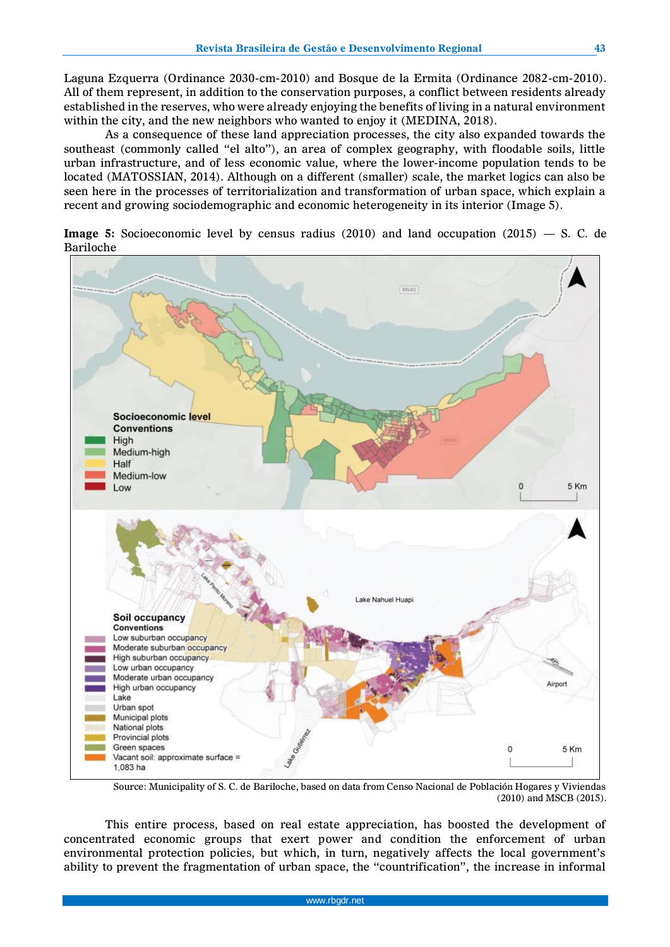Laguna Ezquerra (Ordinance 2030-cm-2010) and Bosque de la Ermita (Ordinance 2082-cm-2010). All of them represent, in addition to the conservation purposes, a conflict between residents already established in the reserves, who were already enjoying the benefits of living in a natural environment within the city, and the new neighbors who wanted to enjoy it (MEDINA, 2018).

As a consequence of these land appreciation processes, the city also expanded towards the southeast (commonly called "el alto"), an area of complex geography, with floodable soils, little urban infrastructure, and of less economic value, where the lower-income population tends to be located (MATOSSIAN, 2014). Although on a different (smaller) scale, the market logics can also be seen here in the processes of territorialization and transformation of urban space, which explain a recent and growing sociodemographic and economic heterogeneity in its interior (Image 5).

**Image 5:** Socioeconomic level by census radius (2010) and land occupation (2015) — S. C. de Bariloche



Source: Municipality of S. C. de Bariloche, based on data from Censo Nacional de Población Hogares y Viviendas (2010) and MSCB (2015).

This entire process, based on real estate appreciation, has boosted the development of concentrated economic groups that exert power and condition the enforcement of urban environmental protection policies, but which, in turn, negatively affects the local government's ability to prevent the fragmentation of urban space, the "countrification", the increase in informal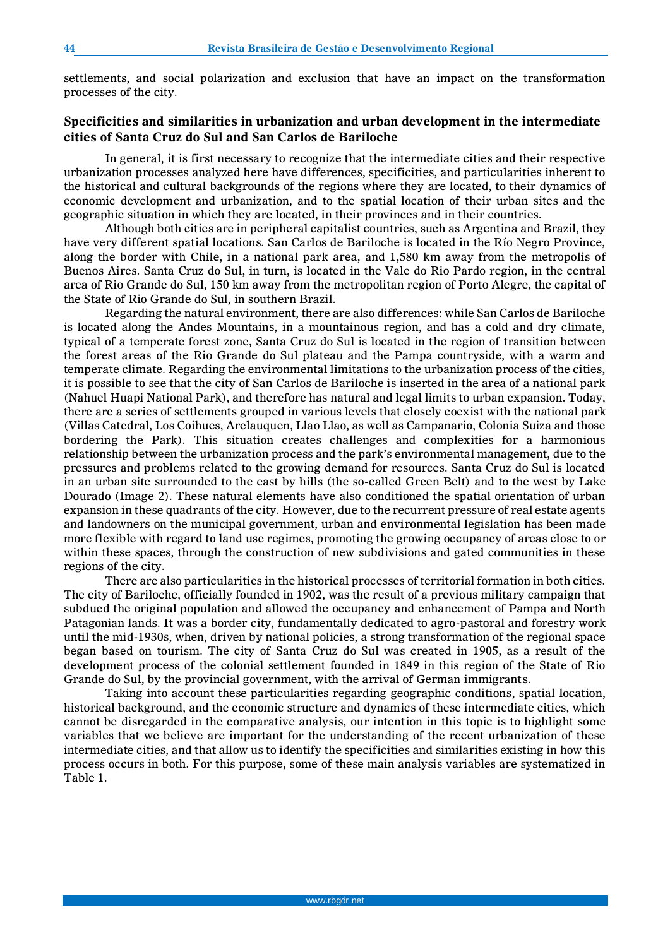settlements, and social polarization and exclusion that have an impact on the transformation processes of the city.

## **Specificities and similarities in urbanization and urban development in the intermediate cities of Santa Cruz do Sul and San Carlos de Bariloche**

In general, it is first necessary to recognize that the intermediate cities and their respective urbanization processes analyzed here have differences, specificities, and particularities inherent to the historical and cultural backgrounds of the regions where they are located, to their dynamics of economic development and urbanization, and to the spatial location of their urban sites and the geographic situation in which they are located, in their provinces and in their countries.

Although both cities are in peripheral capitalist countries, such as Argentina and Brazil, they have very different spatial locations. San Carlos de Bariloche is located in the Río Negro Province, along the border with Chile, in a national park area, and 1,580 km away from the metropolis of Buenos Aires. Santa Cruz do Sul, in turn, is located in the Vale do Rio Pardo region, in the central area of Rio Grande do Sul, 150 km away from the metropolitan region of Porto Alegre, the capital of the State of Rio Grande do Sul, in southern Brazil.

Regarding the natural environment, there are also differences: while San Carlos de Bariloche is located along the Andes Mountains, in a mountainous region, and has a cold and dry climate, typical of a temperate forest zone, Santa Cruz do Sul is located in the region of transition between the forest areas of the Rio Grande do Sul plateau and the Pampa countryside, with a warm and temperate climate. Regarding the environmental limitations to the urbanization process of the cities, it is possible to see that the city of San Carlos de Bariloche is inserted in the area of a national park (Nahuel Huapi National Park), and therefore has natural and legal limits to urban expansion. Today, there are a series of settlements grouped in various levels that closely coexist with the national park (Villas Catedral, Los Coihues, Arelauquen, Llao Llao, as well as Campanario, Colonia Suiza and those bordering the Park). This situation creates challenges and complexities for a harmonious relationship between the urbanization process and the park's environmental management, due to the pressures and problems related to the growing demand for resources. Santa Cruz do Sul is located in an urban site surrounded to the east by hills (the so-called Green Belt) and to the west by Lake Dourado (Image 2). These natural elements have also conditioned the spatial orientation of urban expansion in these quadrants of the city. However, due to the recurrent pressure of real estate agents and landowners on the municipal government, urban and environmental legislation has been made more flexible with regard to land use regimes, promoting the growing occupancy of areas close to or within these spaces, through the construction of new subdivisions and gated communities in these regions of the city.

There are also particularities in the historical processes of territorial formation in both cities. The city of Bariloche, officially founded in 1902, was the result of a previous military campaign that subdued the original population and allowed the occupancy and enhancement of Pampa and North Patagonian lands. It was a border city, fundamentally dedicated to agro-pastoral and forestry work until the mid-1930s, when, driven by national policies, a strong transformation of the regional space began based on tourism. The city of Santa Cruz do Sul was created in 1905, as a result of the development process of the colonial settlement founded in 1849 in this region of the State of Rio Grande do Sul, by the provincial government, with the arrival of German immigrants.

Taking into account these particularities regarding geographic conditions, spatial location, historical background, and the economic structure and dynamics of these intermediate cities, which cannot be disregarded in the comparative analysis, our intention in this topic is to highlight some variables that we believe are important for the understanding of the recent urbanization of these intermediate cities, and that allow us to identify the specificities and similarities existing in how this process occurs in both. For this purpose, some of these main analysis variables are systematized in Table 1.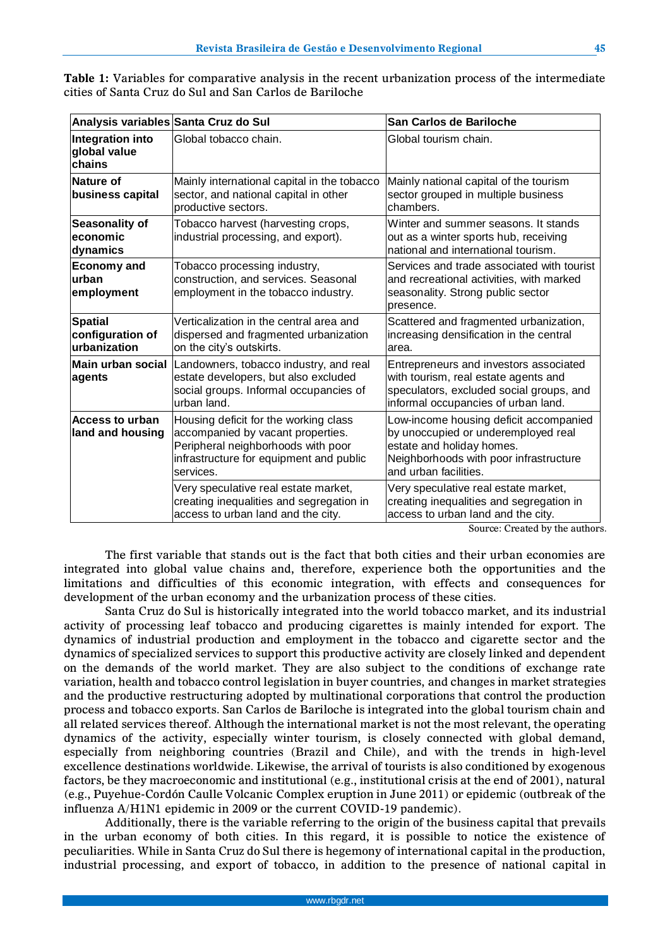| Analysis variables Santa Cruz do Sul               |                                                                                                                                                                          | San Carlos de Bariloche                                                                                                                                                       |
|----------------------------------------------------|--------------------------------------------------------------------------------------------------------------------------------------------------------------------------|-------------------------------------------------------------------------------------------------------------------------------------------------------------------------------|
| Integration into<br>global value<br>chains         | Global tobacco chain.                                                                                                                                                    | Global tourism chain.                                                                                                                                                         |
| Nature of<br>business capital                      | Mainly international capital in the tobacco<br>sector, and national capital in other<br>productive sectors.                                                              | Mainly national capital of the tourism<br>sector grouped in multiple business<br>chambers.                                                                                    |
| <b>Seasonality of</b><br>economic<br>dynamics      | Tobacco harvest (harvesting crops,<br>industrial processing, and export).                                                                                                | Winter and summer seasons. It stands<br>out as a winter sports hub, receiving<br>national and international tourism.                                                          |
| <b>Economy and</b><br>lurban<br>employment         | Tobacco processing industry,<br>construction, and services. Seasonal<br>employment in the tobacco industry.                                                              | Services and trade associated with tourist<br>and recreational activities, with marked<br>seasonality. Strong public sector<br>presence.                                      |
| <b>Spatial</b><br>configuration of<br>urbanization | Verticalization in the central area and<br>dispersed and fragmented urbanization<br>on the city's outskirts.                                                             | Scattered and fragmented urbanization,<br>increasing densification in the central<br>area.                                                                                    |
| Main urban social<br>agents                        | Landowners, tobacco industry, and real<br>estate developers, but also excluded<br>social groups. Informal occupancies of<br>urban land.                                  | Entrepreneurs and investors associated<br>with tourism, real estate agents and<br>speculators, excluded social groups, and<br>informal occupancies of urban land.             |
| <b>Access to urban</b><br>land and housing         | Housing deficit for the working class<br>accompanied by vacant properties.<br>Peripheral neighborhoods with poor<br>infrastructure for equipment and public<br>services. | Low-income housing deficit accompanied<br>by unoccupied or underemployed real<br>estate and holiday homes.<br>Neighborhoods with poor infrastructure<br>and urban facilities. |
|                                                    | Very speculative real estate market,<br>creating inequalities and segregation in<br>access to urban land and the city.                                                   | Very speculative real estate market,<br>creating inequalities and segregation in<br>access to urban land and the city.                                                        |

**Table 1:** Variables for comparative analysis in the recent urbanization process of the intermediate cities of Santa Cruz do Sul and San Carlos de Bariloche

Source: Created by the authors.

The first variable that stands out is the fact that both cities and their urban economies are integrated into global value chains and, therefore, experience both the opportunities and the limitations and difficulties of this economic integration, with effects and consequences for development of the urban economy and the urbanization process of these cities.

Santa Cruz do Sul is historically integrated into the world tobacco market, and its industrial activity of processing leaf tobacco and producing cigarettes is mainly intended for export. The dynamics of industrial production and employment in the tobacco and cigarette sector and the dynamics of specialized services to support this productive activity are closely linked and dependent on the demands of the world market. They are also subject to the conditions of exchange rate variation, health and tobacco control legislation in buyer countries, and changes in market strategies and the productive restructuring adopted by multinational corporations that control the production process and tobacco exports. San Carlos de Bariloche is integrated into the global tourism chain and all related services thereof. Although the international market is not the most relevant, the operating dynamics of the activity, especially winter tourism, is closely connected with global demand, especially from neighboring countries (Brazil and Chile), and with the trends in high-level excellence destinations worldwide. Likewise, the arrival of tourists is also conditioned by exogenous factors, be they macroeconomic and institutional (e.g., institutional crisis at the end of 2001), natural (e.g., Puyehue-Cordón Caulle Volcanic Complex eruption in June 2011) or epidemic (outbreak of the influenza A/H1N1 epidemic in 2009 or the current COVID-19 pandemic).

Additionally, there is the variable referring to the origin of the business capital that prevails in the urban economy of both cities. In this regard, it is possible to notice the existence of peculiarities. While in Santa Cruz do Sul there is hegemony of international capital in the production, industrial processing, and export of tobacco, in addition to the presence of national capital in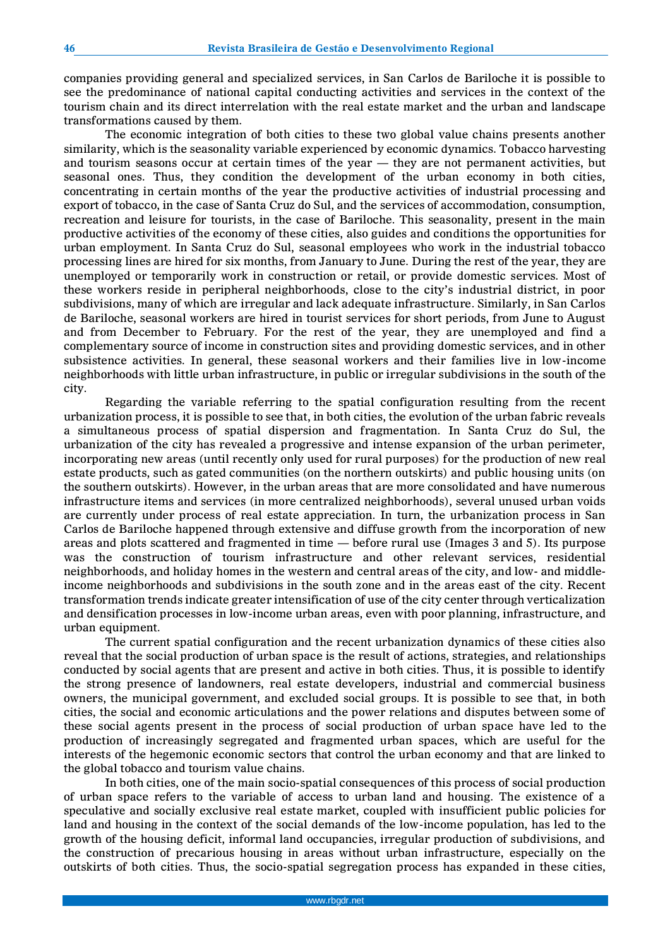companies providing general and specialized services, in San Carlos de Bariloche it is possible to see the predominance of national capital conducting activities and services in the context of the tourism chain and its direct interrelation with the real estate market and the urban and landscape transformations caused by them.

The economic integration of both cities to these two global value chains presents another similarity, which is the seasonality variable experienced by economic dynamics. Tobacco harvesting and tourism seasons occur at certain times of the year — they are not permanent activities, but seasonal ones. Thus, they condition the development of the urban economy in both cities, concentrating in certain months of the year the productive activities of industrial processing and export of tobacco, in the case of Santa Cruz do Sul, and the services of accommodation, consumption, recreation and leisure for tourists, in the case of Bariloche. This seasonality, present in the main productive activities of the economy of these cities, also guides and conditions the opportunities for urban employment. In Santa Cruz do Sul, seasonal employees who work in the industrial tobacco processing lines are hired for six months, from January to June. During the rest of the year, they are unemployed or temporarily work in construction or retail, or provide domestic services. Most of these workers reside in peripheral neighborhoods, close to the city's industrial district, in poor subdivisions, many of which are irregular and lack adequate infrastructure. Similarly, in San Carlos de Bariloche, seasonal workers are hired in tourist services for short periods, from June to August and from December to February. For the rest of the year, they are unemployed and find a complementary source of income in construction sites and providing domestic services, and in other subsistence activities. In general, these seasonal workers and their families live in low-income neighborhoods with little urban infrastructure, in public or irregular subdivisions in the south of the city.

Regarding the variable referring to the spatial configuration resulting from the recent urbanization process, it is possible to see that, in both cities, the evolution of the urban fabric reveals a simultaneous process of spatial dispersion and fragmentation. In Santa Cruz do Sul, the urbanization of the city has revealed a progressive and intense expansion of the urban perimeter, incorporating new areas (until recently only used for rural purposes) for the production of new real estate products, such as gated communities (on the northern outskirts) and public housing units (on the southern outskirts). However, in the urban areas that are more consolidated and have numerous infrastructure items and services (in more centralized neighborhoods), several unused urban voids are currently under process of real estate appreciation. In turn, the urbanization process in San Carlos de Bariloche happened through extensive and diffuse growth from the incorporation of new areas and plots scattered and fragmented in time — before rural use (Images 3 and 5). Its purpose was the construction of tourism infrastructure and other relevant services, residential neighborhoods, and holiday homes in the western and central areas of the city, and low- and middleincome neighborhoods and subdivisions in the south zone and in the areas east of the city. Recent transformation trends indicate greater intensification of use of the city center through verticalization and densification processes in low-income urban areas, even with poor planning, infrastructure, and urban equipment.

The current spatial configuration and the recent urbanization dynamics of these cities also reveal that the social production of urban space is the result of actions, strategies, and relationships conducted by social agents that are present and active in both cities. Thus, it is possible to identify the strong presence of landowners, real estate developers, industrial and commercial business owners, the municipal government, and excluded social groups. It is possible to see that, in both cities, the social and economic articulations and the power relations and disputes between some of these social agents present in the process of social production of urban space have led to the production of increasingly segregated and fragmented urban spaces, which are useful for the interests of the hegemonic economic sectors that control the urban economy and that are linked to the global tobacco and tourism value chains.

In both cities, one of the main socio-spatial consequences of this process of social production of urban space refers to the variable of access to urban land and housing. The existence of a speculative and socially exclusive real estate market, coupled with insufficient public policies for land and housing in the context of the social demands of the low-income population, has led to the growth of the housing deficit, informal land occupancies, irregular production of subdivisions, and the construction of precarious housing in areas without urban infrastructure, especially on the outskirts of both cities. Thus, the socio-spatial segregation process has expanded in these cities,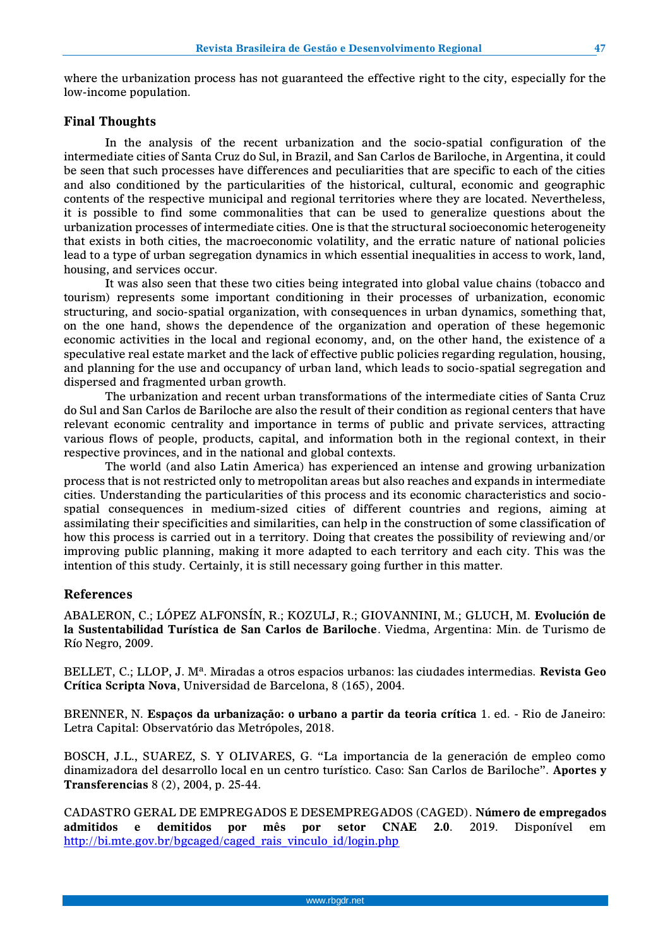where the urbanization process has not guaranteed the effective right to the city, especially for the low-income population.

## **Final Thoughts**

In the analysis of the recent urbanization and the socio-spatial configuration of the intermediate cities of Santa Cruz do Sul, in Brazil, and San Carlos de Bariloche, in Argentina, it could be seen that such processes have differences and peculiarities that are specific to each of the cities and also conditioned by the particularities of the historical, cultural, economic and geographic contents of the respective municipal and regional territories where they are located. Nevertheless, it is possible to find some commonalities that can be used to generalize questions about the urbanization processes of intermediate cities. One is that the structural socioeconomic heterogeneity that exists in both cities, the macroeconomic volatility, and the erratic nature of national policies lead to a type of urban segregation dynamics in which essential inequalities in access to work, land, housing, and services occur.

It was also seen that these two cities being integrated into global value chains (tobacco and tourism) represents some important conditioning in their processes of urbanization, economic structuring, and socio-spatial organization, with consequences in urban dynamics, something that, on the one hand, shows the dependence of the organization and operation of these hegemonic economic activities in the local and regional economy, and, on the other hand, the existence of a speculative real estate market and the lack of effective public policies regarding regulation, housing, and planning for the use and occupancy of urban land, which leads to socio-spatial segregation and dispersed and fragmented urban growth.

The urbanization and recent urban transformations of the intermediate cities of Santa Cruz do Sul and San Carlos de Bariloche are also the result of their condition as regional centers that have relevant economic centrality and importance in terms of public and private services, attracting various flows of people, products, capital, and information both in the regional context, in their respective provinces, and in the national and global contexts.

The world (and also Latin America) has experienced an intense and growing urbanization process that is not restricted only to metropolitan areas but also reaches and expands in intermediate cities. Understanding the particularities of this process and its economic characteristics and sociospatial consequences in medium-sized cities of different countries and regions, aiming at assimilating their specificities and similarities, can help in the construction of some classification of how this process is carried out in a territory. Doing that creates the possibility of reviewing and/or improving public planning, making it more adapted to each territory and each city. This was the intention of this study. Certainly, it is still necessary going further in this matter.

## **References**

ABALERON, C.; LÓPEZ ALFONSÍN, R.; KOZULJ, R.; GIOVANNINI, M.; GLUCH, M. **Evolución de la Sustentabilidad Turística de San Carlos de Bariloche**. Viedma, Argentina: Min. de Turismo de Río Negro, 2009.

BELLET, C.; LLOP, J. Mª. Miradas a otros espacios urbanos: las ciudades intermedias. **Revista Geo Crítica Scripta Nova**, Universidad de Barcelona, 8 (165), 2004.

BRENNER, N. **Espaços da urbanização: o urbano a partir da teoria crítica** 1. ed. - Rio de Janeiro: Letra Capital: Observatório das Metrópoles, 2018.

BOSCH, J.L., SUAREZ, S. Y OLIVARES, G. "La importancia de la generación de empleo como dinamizadora del desarrollo local en un centro turístico. Caso: San Carlos de Bariloche". **Aportes y Transferencias** 8 (2), 2004, p. 25-44.

CADASTRO GERAL DE EMPREGADOS E DESEMPREGADOS (CAGED). **Número de empregados admitidos e demitidos por mês por setor CNAE 2.0**. 2019. Disponível em [http://bi.mte.gov.br/bgcaged/caged\\_rais\\_vinculo\\_id/login.php](http://bi.mte.gov.br/bgcaged/caged_rais_vinculo_id/login.php)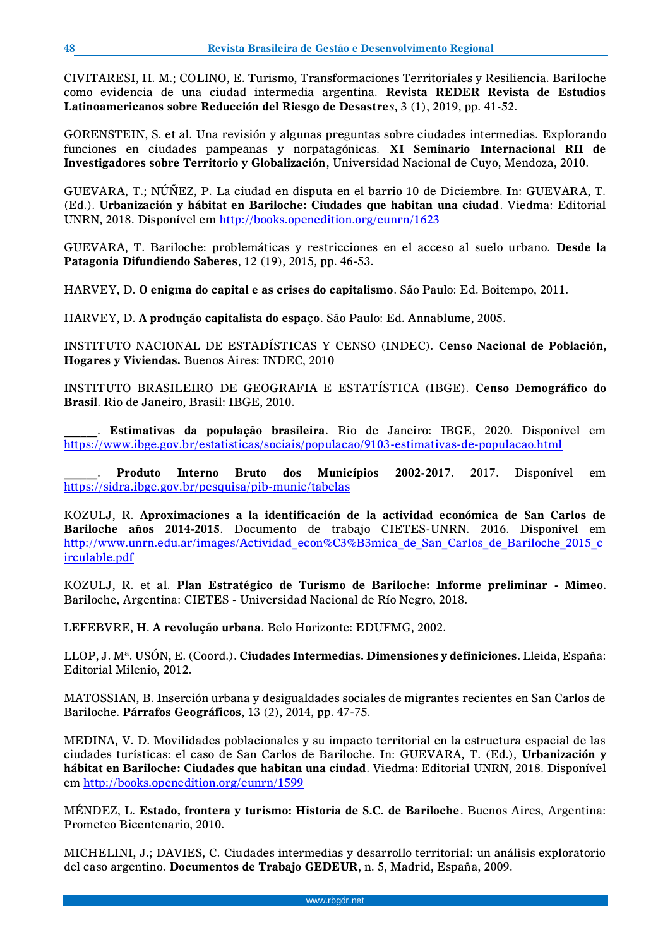CIVITARESI, H. M.; COLINO, E. Turismo, Transformaciones Territoriales y Resiliencia. Bariloche como evidencia de una ciudad intermedia argentina. **Revista REDER Revista de Estudios Latinoamericanos sobre Reducción del Riesgo de Desastre***s*, 3 (1), 2019, pp. 41-52.

GORENSTEIN, S. et al. Una revisión y algunas preguntas sobre ciudades intermedias. Explorando funciones en ciudades pampeanas y norpatagónicas. **XI Seminario Internacional RII de Investigadores sobre Territorio y Globalización**, Universidad Nacional de Cuyo, Mendoza, 2010.

GUEVARA, T.; NÚÑEZ, P. La ciudad en disputa en el barrio 10 de Diciembre. In: GUEVARA, T. (Ed.). **Urbanización y hábitat en Bariloche: Ciudades que habitan una ciudad**. Viedma: Editorial UNRN, 2018. Disponível em <http://books.openedition.org/eunrn/1623>

GUEVARA, T. Bariloche: problemáticas y restricciones en el acceso al suelo urbano. **Desde la Patagonia Difundiendo Saberes**, 12 (19), 2015, pp. 46-53.

HARVEY, D. **O enigma do capital e as crises do capitalismo**. São Paulo: Ed. Boitempo, 2011.

HARVEY, D. **A produção capitalista do espaço**. São Paulo: Ed. Annablume, 2005.

INSTITUTO NACIONAL DE ESTADÍSTICAS Y CENSO (INDEC). **Censo Nacional de Población, Hogares y Viviendas.** Buenos Aires: INDEC, 2010

INSTITUTO BRASILEIRO DE GEOGRAFIA E ESTATÍSTICA (IBGE). **Censo Demográfico do Brasil**. Rio de Janeiro, Brasil: IBGE, 2010.

\_\_\_\_\_\_. **Estimativas da população brasileira**. Rio de Janeiro: IBGE, 2020. Disponível em <https://www.ibge.gov.br/estatisticas/sociais/populacao/9103-estimativas-de-populacao.html>

\_\_\_\_\_\_. **Produto Interno Bruto dos Municípios 2002-2017**. 2017. Disponível em <https://sidra.ibge.gov.br/pesquisa/pib-munic/tabelas>

KOZULJ, R. **Aproximaciones a la identificación de la actividad económica de San Carlos de Bariloche años 2014-2015**. Documento de trabajo CIETES-UNRN. 2016. Disponível em http://www.unrn.edu.ar/images/Actividad econ%C3%B3mica de San Carlos de Bariloche 2015 c [irculable.pdf](http://www.unrn.edu.ar/images/Actividad_econ%C3%B3mica_de_San_Carlos_de_Bariloche_2015_circulable.pdf)

KOZULJ, R. et al. **Plan Estratégico de Turismo de Bariloche: Informe preliminar - Mimeo**. Bariloche, Argentina: CIETES - Universidad Nacional de Río Negro, 2018.

LEFEBVRE, H. **A revolução urbana**. Belo Horizonte: EDUFMG, 2002.

LLOP, J. Mª. USÓN, E. (Coord.). **Ciudades Intermedias. Dimensiones y definiciones**. Lleida, España: Editorial Milenio, 2012.

MATOSSIAN, B. Inserción urbana y desigualdades sociales de migrantes recientes en San Carlos de Bariloche. **Párrafos Geográficos**, 13 (2), 2014, pp. 47-75.

MEDINA, V. D. Movilidades poblacionales y su impacto territorial en la estructura espacial de las ciudades turísticas: el caso de San Carlos de Bariloche. In: GUEVARA, T. (Ed.), **Urbanización y hábitat en Bariloche: Ciudades que habitan una ciudad**. Viedma: Editorial UNRN, 2018. Disponível em <http://books.openedition.org/eunrn/1599>

MÉNDEZ, L. **Estado, frontera y turismo: Historia de S.C. de Bariloche**. Buenos Aires, Argentina: Prometeo Bicentenario, 2010.

MICHELINI, J.; DAVIES, C. Ciudades intermedias y desarrollo territorial: un análisis exploratorio del caso argentino. **Documentos de Trabajo GEDEUR**, n. 5, Madrid, España, 2009.